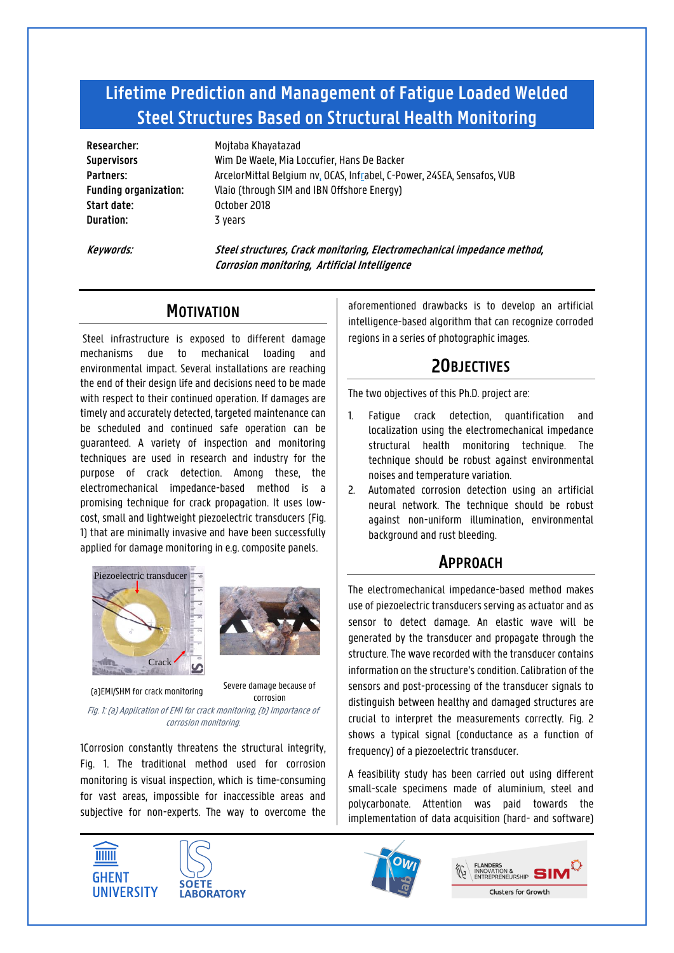# **Lifetime Prediction and Management of Fatigue Loaded Welded Steel Structures Based on Structural Health Monitoring**

**Researcher:** Moitaba Khayatazad **Start date:** October 2018 **Duration:** 3 years

**Supervisors** Wim De Waele, Mia Loccufier, Hans De Backer **Partners:** ArcelorMittal Belgium nv, OCAS, Infrabel, C-Power, 24SEA, Sensafos, VUB **Funding organization:** Vlaio (through SIM and IBN Offshore Energy)

**Keywords: Steel structures, Crack monitoring, Electromechanical impedance method, Corrosion monitoring, Artificial Intelligence**

## **MOTIVATION**

Steel infrastructure is exposed to different damage mechanisms due to mechanical loading and environmental impact. Several installations are reaching the end of their design life and decisions need to be made with respect to their continued operation. If damages are timely and accurately detected, targeted maintenance can be scheduled and continued safe operation can be guaranteed. A variety of inspection and monitoring techniques are used in research and industry for the purpose of crack detection. Among these, the electromechanical impedance-based method is a promising technique for crack propagation. It uses lowcost, small and lightweight piezoelectric transducers (Fig. 1) that are minimally invasive and have been successfully applied for damage monitoring in e.g. composite panels.





(a)EMI/SHM for crack monitoring<br>Correcian Correcian corrosion

<span id="page-0-0"></span>Fig. 1: (a) Application of EMI for crack monitoring, (b) Importance of propagation for corrosion detectioncorrosion monitoring.

1Corrosion constantly threatens the structural integrity, [Fig. 1.](#page-0-0) The traditional method used for corrosion monitoring is visual inspection, which is time-consuming for vast areas, impossible for inaccessible areas and subjective for non-experts. The way to overcome the





aforementioned drawbacks is to develop an artificial intelligence-based algorithm that can recognize corroded regions in a series of photographic images.

# 2**OBJECTIVES**

The two objectives of this Ph.D. project are:

- 1. Fatigue crack detection, quantification and localization using the electromechanical impedance structural health monitoring technique. The technique should be robust against environmental noises and temperature variation.
- 2. Automated corrosion detection using an artificial neural network. The technique should be robust against non-uniform illumination, environmental background and rust bleeding.

### **APPROACH**

The electromechanical impedance-based method makes use of piezoelectric transducers serving as actuator and as sensor to detect damage. An elastic wave will be generated by the transducer and propagate through the structure. The wave recorded with the transducer contains information on the structure's condition. Calibration of the sensors and post-processing of the transducer signals to distinguish between healthy and damaged structures are crucial to interpret the measurements correctly. [Fig. 2](#page-1-0) shows a typical signal (conductance as a function of frequency) of a piezoelectric transducer.

A feasibility study has been carried out using different small-scale specimens made of aluminium, steel and polycarbonate. Attention was paid towards the implementation of data acquisition (hard- and software)